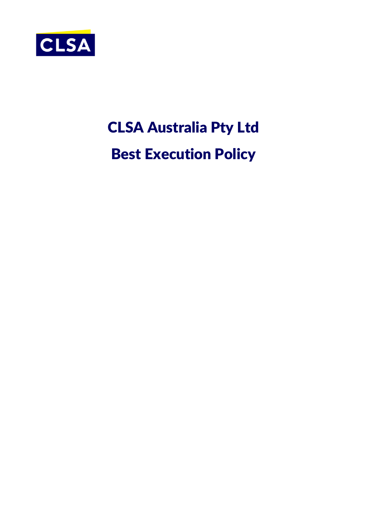

# CLSA Australia Pty Ltd Best Execution Policy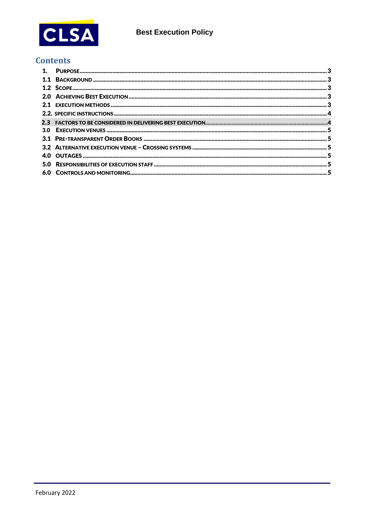

# **Contents**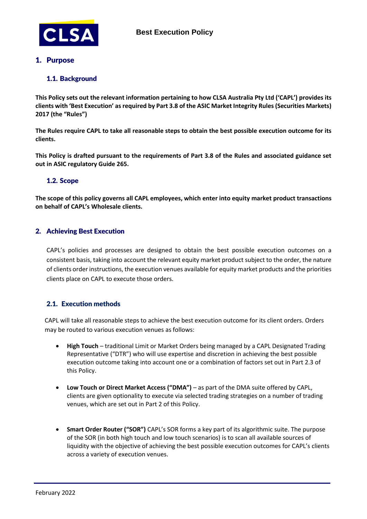

# <span id="page-2-0"></span>1. Purpose

# <span id="page-2-1"></span>1.1. Background

**This Policy sets out the relevant information pertaining to how CLSA Australia Pty Ltd ('CAPL') provides its clients with 'Best Execution' as required by Part 3.8 of the ASIC Market Integrity Rules (Securities Markets) 2017 (the "Rules")**

**The Rules require CAPL to take all reasonable steps to obtain the best possible execution outcome for its clients.**

**This Policy is drafted pursuant to the requirements of Part 3.8 of the Rules and associated guidance set out in ASIC regulatory Guide 265.**

# <span id="page-2-2"></span>1.2. Scope

**The scope of this policy governs all CAPL employees, which enter into equity market product transactions on behalf of CAPL's Wholesale clients.**

# <span id="page-2-3"></span>2. Achieving Best Execution

<span id="page-2-4"></span>CAPL's policies and processes are designed to obtain the best possible execution outcomes on a consistent basis, taking into account the relevant equity market product subject to the order, the nature of clients order instructions, the execution venues available for equity market products and the priorities clients place on CAPL to execute those orders.

# 2.1. Execution methods

CAPL will take all reasonable steps to achieve the best execution outcome for its client orders. Orders may be routed to various execution venues as follows:

- **High Touch** traditional Limit or Market Orders being managed by a CAPL Designated Trading Representative ("DTR") who will use expertise and discretion in achieving the best possible execution outcome taking into account one or a combination of factors set out in Part 2.3 of this Policy.
- **Low Touch or Direct Market Access ("DMA")**  as part of the DMA suite offered by CAPL, clients are given optionality to execute via selected trading strategies on a number of trading venues, which are set out in Part 2 of this Policy.
- **Smart Order Router ("SOR")** CAPL's SOR forms a key part of its algorithmic suite. The purpose of the SOR (in both high touch and low touch scenarios) is to scan all available sources of liquidity with the objective of achieving the best possible execution outcomes for CAPL's clients across a variety of execution venues.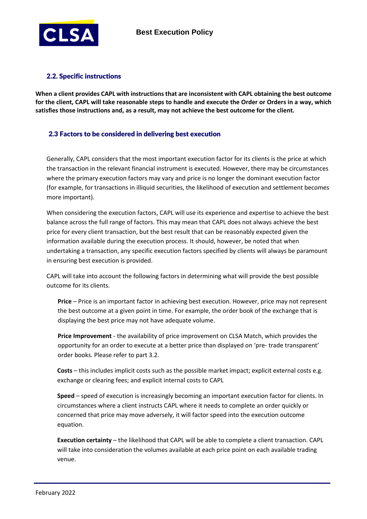

# <span id="page-3-0"></span>2.2. Specific instructions

**When a client provides CAPL with instructions that are inconsistent with CAPL obtaining the best outcome for the client, CAPL will take reasonable steps to handle and execute the Order or Orders in a way, which satisfies those instructions and, as a result, may not achieve the best outcome for the client.**

# 2.3 Factors to be considered in delivering best execution

Generally, CAPL considers that the most important execution factor for its clients is the price at which the transaction in the relevant financial instrument is executed. However, there may be circumstances where the primary execution factors may vary and price is no longer the dominant execution factor (for example, for transactions in illiquid securities, the likelihood of execution and settlement becomes more important).

When considering the execution factors, CAPL will use its experience and expertise to achieve the best balance across the full range of factors. This may mean that CAPL does not always achieve the best price for every client transaction, but the best result that can be reasonably expected given the information available during the execution process. It should, however, be noted that when undertaking a transaction, any specific execution factors specified by clients will always be paramount in ensuring best execution is provided.

CAPL will take into account the following factors in determining what will provide the best possible outcome for its clients.

**Price** – Price is an important factor in achieving best execution. However, price may not represent the best outcome at a given point in time. For example, the order book of the exchange that is displaying the best price may not have adequate volume.

**Price Improvement** - the availability of price improvement on CLSA Match, which provides the opportunity for an order to execute at a better price than displayed on 'pre- trade transparent' order books. Please refer to part 3.2.

**Costs** – this includes implicit costs such as the possible market impact; explicit external costs e.g. exchange or clearing fees; and explicit internal costs to CAPL

**Speed** – speed of execution is increasingly becoming an important execution factor for clients. In circumstances where a client instructs CAPL where it needs to complete an order quickly or concerned that price may move adversely, it will factor speed into the execution outcome equation.

**Execution certainty** – the likelihood that CAPL will be able to complete a client transaction. CAPL will take into consideration the volumes available at each price point on each available trading venue.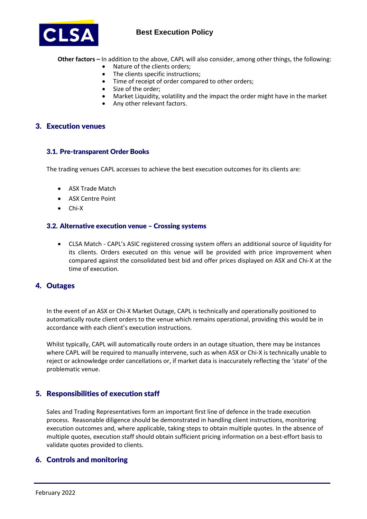

# **Best Execution Policy**

**Other factors –** In addition to the above, CAPL will also consider, among other things, the following:

- Nature of the clients orders;
- The clients specific instructions;
- Time of receipt of order compared to other orders;
- Size of the order;<br>• Market Liquidity
- Market Liquidity, volatility and the impact the order might have in the market
- Any other relevant factors.

### <span id="page-4-0"></span>3. Execution venues

#### <span id="page-4-1"></span>3.1. Pre-transparent Order Books

The trading venues CAPL accesses to achieve the best execution outcomes for its clients are:

- ASX Trade Match
- ASX Centre Point
- Chi-X

#### <span id="page-4-2"></span>3.2. Alternative execution venue – Crossing systems

 CLSA Match - CAPL's ASIC registered crossing system offers an additional source of liquidity for its clients. Orders executed on this venue will be provided with price improvement when compared against the consolidated best bid and offer prices displayed on ASX and Chi-X at the time of execution.

# <span id="page-4-3"></span>4. Outages

In the event of an ASX or Chi-X Market Outage, CAPL is technically and operationally positioned to automatically route client orders to the venue which remains operational, providing this would be in accordance with each client's execution instructions.

Whilst typically, CAPL will automatically route orders in an outage situation, there may be instances where CAPL will be required to manually intervene, such as when ASX or Chi-X is technically unable to reject or acknowledge order cancellations or, if market data is inaccurately reflecting the 'state' of the problematic venue.

# 5. Responsibilities of execution staff

Sales and Trading Representatives form an important first line of defence in the trade execution process. Reasonable diligence should be demonstrated in handling client instructions, monitoring execution outcomes and, where applicable, taking steps to obtain multiple quotes. In the absence of multiple quotes, execution staff should obtain sufficient pricing information on a best-effort basis to validate quotes provided to clients.

# <span id="page-4-4"></span>6. Controls and monitoring